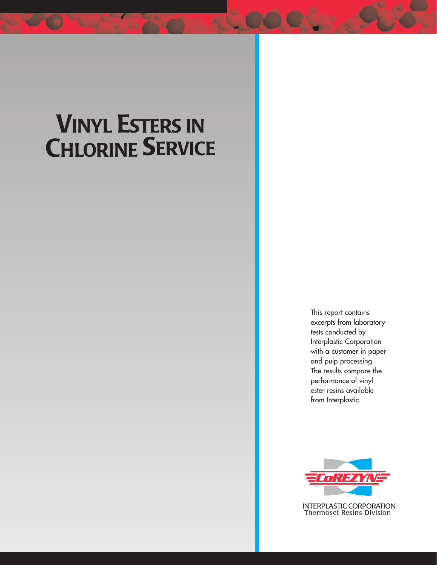## **VINYL ESTERS IN CHLORINE SERVICE**

This report contains excerpts from laboratory tests conducted by Interplastic Corporation with a customer in paper and pulp processing. The results compare the performance of vinyl ester resins available from Interplastic.



**INTERPLASTIC CORPORATION** Thermoset Resins Division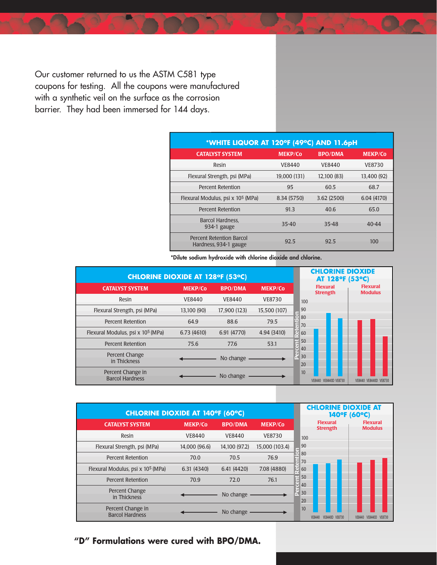Our customer returned to us the ASTM C581 type coupons for testing. All the coupons were manufactured with a synthetic veil on the surface as the corrosion barrier. They had been immersed for 144 days.

| *WHITE LIQUOR AT 120°F (49°C) AND 11.6pH          |                |                |                |  |  |  |  |  |
|---------------------------------------------------|----------------|----------------|----------------|--|--|--|--|--|
| <b>CATALYST SYSTEM</b>                            | <b>MEKP/Co</b> | <b>BPO/DMA</b> | <b>MEKP/Co</b> |  |  |  |  |  |
| Resin                                             | <b>VE8440</b>  | VE8440         | <b>VE8730</b>  |  |  |  |  |  |
| Flexural Strength, psi (MPa)                      | 19,000 (131)   | 12,100 (83)    | 13,400 (92)    |  |  |  |  |  |
| <b>Percent Retention</b>                          | 95             | 60.5           | 68.7           |  |  |  |  |  |
| Flexural Modulus, psi x 10 <sup>5</sup> (MPa)     | 8.34 (5750)    | 3.62(2500)     | 6.04 (4170)    |  |  |  |  |  |
| <b>Percent Retention</b>                          | 91.3           | 40.6           | 65.0           |  |  |  |  |  |
| Barcol Hardness.<br>934-1 gauge                   | $35 - 40$      | $35 - 48$      | $40 - 44$      |  |  |  |  |  |
| Percent Retention Barcol<br>Hardness, 934-1 gauge | 92.5           | 92.5           | 100            |  |  |  |  |  |

**\*Dilute sodium hydroxide with chlorine dioxide and chlorine.**

| <b>CHLORINE DIOXIDE AT 128°F (53°C)</b>       | <b>CHLORINE DIOXIDE</b><br>AT 128°F (53°C) |                |                |                                                                         |
|-----------------------------------------------|--------------------------------------------|----------------|----------------|-------------------------------------------------------------------------|
| <b>CATALYST SYSTEM</b>                        | <b>MEKP/Co</b>                             | <b>BPO/DMA</b> | <b>MEKP/Co</b> | <b>Flexural</b><br><b>Flexural</b><br><b>Strength</b><br><b>Modulus</b> |
| Resin                                         | <b>VE8440</b>                              | <b>VE8440</b>  | <b>VE8730</b>  | 100                                                                     |
| Flexural Strength, psi (MPa)                  | 13,100 (90)                                | 17,900 (123)   | 15,500 (107)   | 90<br>▄                                                                 |
| <b>Percent Retention</b>                      | 64.9                                       | 88.6           | 79.5           | $\square$ 80<br>70                                                      |
| Flexural Modulus, psi x 10 <sup>5</sup> (MPa) | 6.73(4610)                                 | 6.91 (4770)    | 4.94 (3410)    | $\overline{u}$ 60                                                       |
| Percent Retention                             | 75.6                                       | 77.6           | 53.1           | 50<br>π<br>$\vert$ 40                                                   |
| Percent Change<br>in Thickness                |                                            | No change      |                | 30<br>20                                                                |
| Percent Change in<br><b>Barcol Hardness</b>   |                                            | No change      |                | 10<br>VE8440 VE8440D VE8730<br>VE8440 VE8440D VE8730                    |

| <b>CHLORINE DIOXIDE AT 140°F (60°C)</b>       |                |                |                | <b>CHLORINE DIOXIDE AT</b><br>140°F (60°C) |              |                                    |                                   |  |
|-----------------------------------------------|----------------|----------------|----------------|--------------------------------------------|--------------|------------------------------------|-----------------------------------|--|
| <b>CATALYST SYSTEM</b>                        | <b>MEKP/Co</b> | <b>BPO/DMA</b> | <b>MEKP/Co</b> |                                            |              | <b>Flexural</b><br><b>Strength</b> | <b>Flexural</b><br><b>Modulus</b> |  |
| Resin                                         | VE8440         | VE8440         | <b>VE8730</b>  |                                            | 100          |                                    |                                   |  |
| Flexural Strength, psi (MPa)                  | 14,000 (96.6)  | 14,100 (97.2)  | 15,000 (103.4) | ۰                                          | 90           |                                    |                                   |  |
| Percent Retention                             | 70.0           | 70.5           | 76.9           |                                            | 80<br>70     |                                    |                                   |  |
| Flexural Modulus, psi x 10 <sup>5</sup> (MPa) | 6.31(4340)     | 6.41(4420)     | 7.08 (4880)    | $\overline{0}$ 60                          |              |                                    |                                   |  |
| Percent Retention                             | 70.9           | 72.0           | 76.1           |                                            | 50<br>40     |                                    |                                   |  |
| Percent Change<br>in Thickness                |                | No change      |                |                                            | 30<br>20     |                                    |                                   |  |
| Percent Change in<br><b>Barcol Hardness</b>   |                | No change      |                |                                            | 10<br>VE8440 | VE8440D VE8730                     | VE8730<br>VE8440<br>VE8440D       |  |

## **"D" Formulations were cured with BPO/DMA.**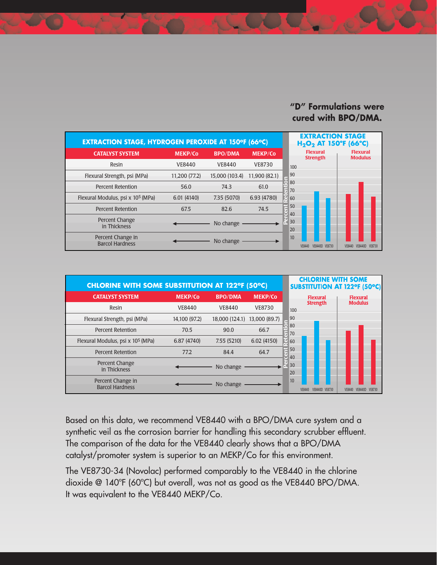## **"D" Formulations were cured with BPO/DMA.**



| <b>CHLORINE WITH SOME SUBSTITUTION AT 122°F (50°C)</b> |                |                              |                |          | <b>CHLORINE WITH SOME</b>          | <b>SUBSTITUTION AT 122°F (50°C)</b>      |
|--------------------------------------------------------|----------------|------------------------------|----------------|----------|------------------------------------|------------------------------------------|
| <b>CATALYST SYSTEM</b>                                 | <b>MEKP/Co</b> | <b>BPO/DMA</b>               | <b>MEKP/Co</b> |          | <b>Flexural</b>                    | <b>Flexural</b>                          |
| Resin                                                  | VE8440         | <b>VE8440</b>                | <b>VE8730</b>  | 100      | <b>Strength</b>                    | <b>Modulus</b>                           |
| Flexural Strength, psi (MPa)                           | 14,100 (97.2)  | 18,000 (124.1) 13,000 (89.7) |                | 90       |                                    |                                          |
| <b>Percent Retention</b>                               | 70.5           | 90.0                         | 66.7           | 80<br>70 |                                    |                                          |
| Flexural Modulus, psi x 10 <sup>5</sup> (MPa)          | 6.87 (4740)    | 7.55(5210)                   | 6.02(4150)     | 60       |                                    |                                          |
| <b>Percent Retention</b>                               | 77.2           | 84.4                         | 64.7           | 50<br>40 |                                    |                                          |
| Percent Change<br>in Thickness                         |                | No change                    |                | 30<br>20 |                                    |                                          |
| Percent Change in<br><b>Barcol Hardness</b>            |                | No change                    |                | 10       | <b>VE8440D</b><br>VE8730<br>VF8440 | <b>VE8730</b><br>VE844<br><b>VE8440D</b> |

Based on this data, we recommend VE8440 with a BPO/DMA cure system and a synthetic veil as the corrosion barrier for handling this secondary scrubber effluent. The comparison of the data for the VE8440 clearly shows that a BPO/DMA catalyst/promoter system is superior to an MEKP/Co for this environment.

The VE8730-34 (Novolac) performed comparably to the VE8440 in the chlorine dioxide @ 140ºF (60ºC) but overall, was not as good as the VE8440 BPO/DMA. It was equivalent to the VE8440 MEKP/Co.